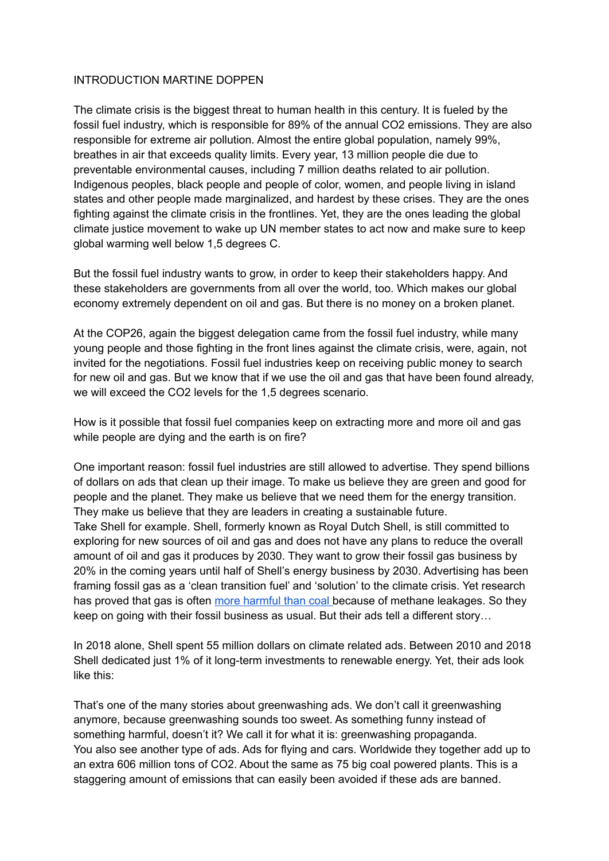## INTRODUCTION MARTINE DOPPEN

The climate crisis is the biggest threat to human health in this century. It is fueled by the fossil fuel industry, which is responsible for 89% of the annual CO2 emissions. They are also responsible for extreme air pollution. Almost the entire global population, namely 99%, breathes in air that exceeds quality limits. Every year, 13 million people die due to preventable environmental causes, including 7 million deaths related to air pollution. Indigenous peoples, black people and people of color, women, and people living in island states and other people made marginalized, and hardest by these crises. They are the ones fighting against the climate crisis in the frontlines. Yet, they are the ones leading the global climate justice movement to wake up UN member states to act now and make sure to keep global warming well below 1,5 degrees C.

But the fossil fuel industry wants to grow, in order to keep their stakeholders happy. And these stakeholders are governments from all over the world, too. Which makes our global economy extremely dependent on oil and gas. But there is no money on a broken planet.

At the COP26, again the biggest delegation came from the fossil fuel industry, while many young people and those fighting in the front lines against the climate crisis, were, again, not invited for the negotiations. Fossil fuel industries keep on receiving public money to search for new oil and gas. But we know that if we use the oil and gas that have been found already, we will exceed the CO2 levels for the 1,5 degrees scenario.

How is it possible that fossil fuel companies keep on extracting more and more oil and gas while people are dying and the earth is on fire?

One important reason: fossil fuel industries are still allowed to advertise. They spend billions of dollars on ads that clean up their image. To make us believe they are green and good for people and the planet. They make us believe that we need them for the energy transition. They make us believe that they are leaders in creating a sustainable future. Take Shell for example. Shell, formerly known as Royal Dutch Shell, is still committed to exploring for new sources of oil and gas and does not have any plans to reduce the overall amount of oil and gas it produces by 2030. They want to grow their fossil gas business by 20% in the coming years until half of Shell's energy business by 2030. Advertising has been framing fossil gas as a 'clean transition fuel' and 'solution' to the climate crisis. Yet research has proved that gas is often more [harmful](https://www.scientificamerican.com/article/methane-leaks-erase-some-of-the-climate-benefits-of-natural-gas/) than coal because of methane leakages. So they keep on going with their fossil business as usual. But their ads tell a different story…

In 2018 alone, Shell spent 55 million dollars on climate related ads. Between 2010 and 2018 Shell dedicated just 1% of it long-term investments to renewable energy. Yet, their ads look like this:

That's one of the many stories about greenwashing ads. We don't call it greenwashing anymore, because greenwashing sounds too sweet. As something funny instead of something harmful, doesn't it? We call it for what it is: greenwashing propaganda. You also see another type of ads. Ads for flying and cars. Worldwide they together add up to an extra 606 million tons of CO2. About the same as 75 big coal powered plants. This is a staggering amount of emissions that can easily been avoided if these ads are banned.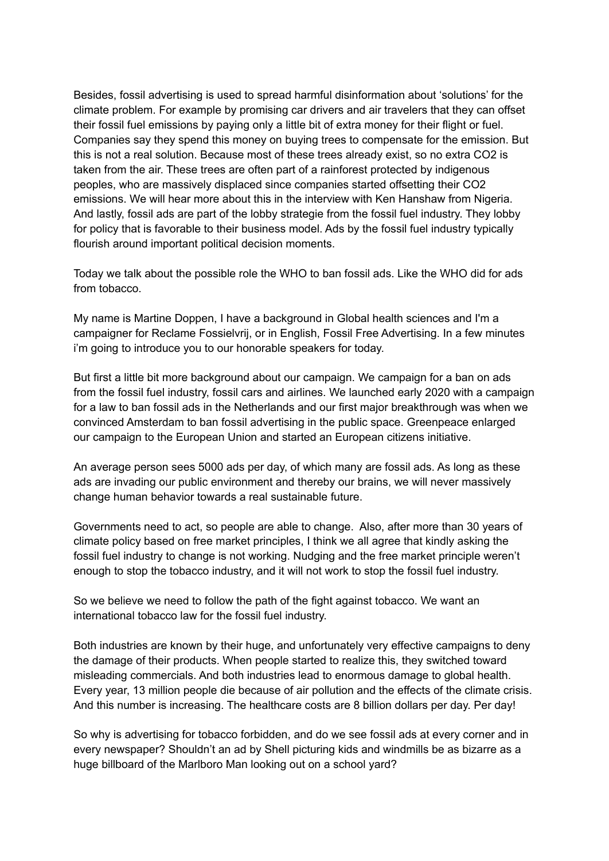Besides, fossil advertising is used to spread harmful disinformation about 'solutions' for the climate problem. For example by promising car drivers and air travelers that they can offset their fossil fuel emissions by paying only a little bit of extra money for their flight or fuel. Companies say they spend this money on buying trees to compensate for the emission. But this is not a real solution. Because most of these trees already exist, so no extra CO2 is taken from the air. These trees are often part of a rainforest protected by indigenous peoples, who are massively displaced since companies started offsetting their CO2 emissions. We will hear more about this in the interview with Ken Hanshaw from Nigeria. And lastly, fossil ads are part of the lobby strategie from the fossil fuel industry. They lobby for policy that is favorable to their business model. Ads by the fossil fuel industry typically flourish around important political decision moments.

Today we talk about the possible role the WHO to ban fossil ads. Like the WHO did for ads from tobacco.

My name is Martine Doppen, I have a background in Global health sciences and I'm a campaigner for Reclame Fossielvrij, or in English, Fossil Free Advertising. In a few minutes i'm going to introduce you to our honorable speakers for today.

But first a little bit more background about our campaign. We campaign for a ban on ads from the fossil fuel industry, fossil cars and airlines. We launched early 2020 with a campaign for a law to ban fossil ads in the Netherlands and our first major breakthrough was when we convinced Amsterdam to ban fossil advertising in the public space. Greenpeace enlarged our campaign to the European Union and started an European citizens initiative.

An average person sees 5000 ads per day, of which many are fossil ads. As long as these ads are invading our public environment and thereby our brains, we will never massively change human behavior towards a real sustainable future.

Governments need to act, so people are able to change. Also, after more than 30 years of climate policy based on free market principles, I think we all agree that kindly asking the fossil fuel industry to change is not working. Nudging and the free market principle weren't enough to stop the tobacco industry, and it will not work to stop the fossil fuel industry.

So we believe we need to follow the path of the fight against tobacco. We want an international tobacco law for the fossil fuel industry.

Both industries are known by their huge, and unfortunately very effective campaigns to deny the damage of their products. When people started to realize this, they switched toward misleading commercials. And both industries lead to enormous damage to global health. Every year, 13 million people die because of air pollution and the effects of the climate crisis. And this number is increasing. The healthcare costs are 8 billion dollars per day. Per day!

So why is advertising for tobacco forbidden, and do we see fossil ads at every corner and in every newspaper? Shouldn't an ad by Shell picturing kids and windmills be as bizarre as a huge billboard of the Marlboro Man looking out on a school yard?